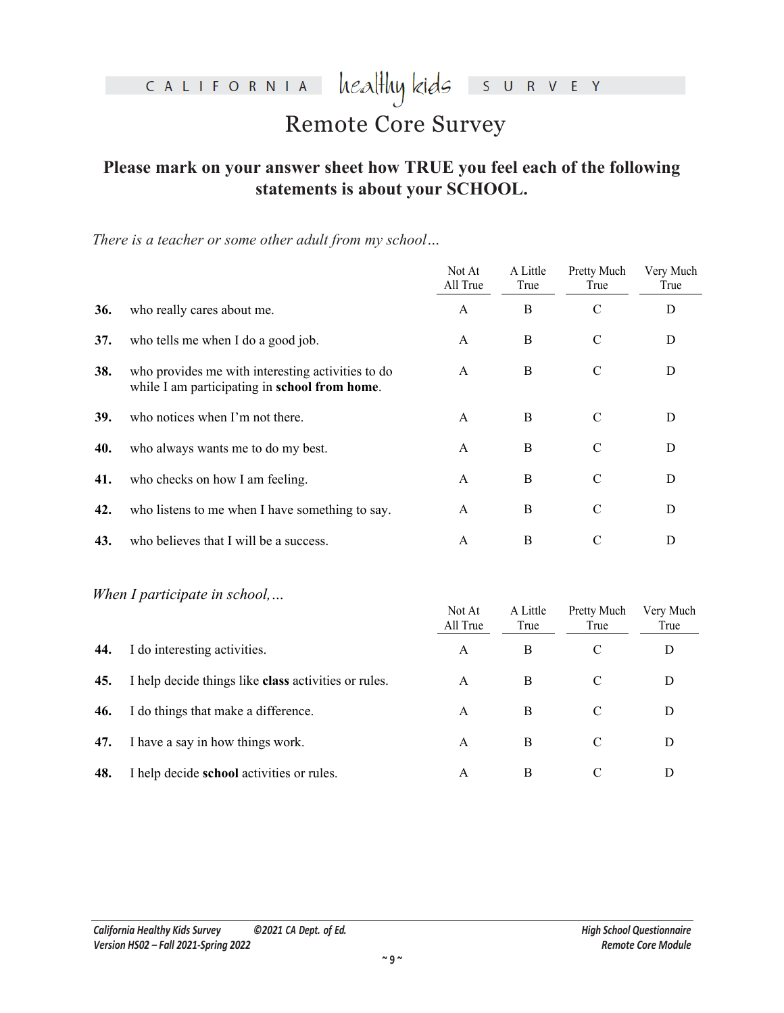heal<del>l</del>luy kids CALIFORNIA

S U R V E Y

## Remote Core Survey

### **Please mark on your answer sheet how TRUE you feel each of the following statements is about your SCHOOL.**

|     | statements is about your SCHOOL.                                                                   |                    |                      |                            | o                 |
|-----|----------------------------------------------------------------------------------------------------|--------------------|----------------------|----------------------------|-------------------|
|     | There is a teacher or some other adult from my school                                              |                    |                      |                            |                   |
|     |                                                                                                    | Not At<br>All True | A Little<br>True     | <b>Pretty Much</b><br>True | Very Much<br>True |
| 36. | who really cares about me.                                                                         | $\mathbf{A}$       | B                    | $\mathcal{C}$              | $\mathbf D$       |
| 37. | who tells me when I do a good job.                                                                 |                    | $\bf{B}$             | $\mathcal{C}$              | D                 |
| 38. | who provides me with interesting activities to do<br>while I am participating in school from home. | А                  | $\, {\bf B}$         | $\mathbf C$                | $\mathbf D$       |
| 39. | who notices when I'm not there.                                                                    | А                  | B                    | $\mathcal{C}$              | D                 |
| 40. | who always wants me to do my best.                                                                 | $\mathbf{A}$       | $\overline{B}$       | $\overline{C}$             | D                 |
| 41. | who checks on how I am feeling.                                                                    | $\mathbf{A}$       | $\overline{B}$       | $\mathcal{C}$              | $\mathbf D$       |
| 42. | who listens to me when I have something to say.                                                    | А                  | $\mathbf B$          | $\mathcal{C}$              | D                 |
| 43. | who believes that I will be a success.                                                             | $\overline{A}$     | $\, {\bf B}$         | $\mathcal{C}$              | D                 |
|     | When I participate in school,                                                                      | Not At             | A Little             | Pretty Much                | Very Much         |
| 44. |                                                                                                    | All True           | True<br>$\, {\bf B}$ | True<br>$\mathbf C$        | True<br>D         |
|     | I do interesting activities.                                                                       | $\mathbf{A}$       |                      |                            |                   |
| 45. | I help decide things like class activities or rules.                                               | A                  | $\bf{B}$             | $\mathcal{C}$              | D                 |
| 46. | I do things that make a difference.                                                                | A                  | $\bf{B}$             | $\mathbf C$                | D                 |
| 47. | I have a say in how things work.                                                                   | A                  | $\bf{B}$             | $\mathbf C$                | D                 |
| 48. | I help decide school activities or rules.                                                          | A                  | $\, {\bf B}$         | $\mathcal{C}$              | $\mathbf D$       |

|     |                                                      | Not At<br>All True | A Little<br>True | Pretty Much<br>True | Very Much<br>True |
|-----|------------------------------------------------------|--------------------|------------------|---------------------|-------------------|
| 44. | I do interesting activities.                         | А                  | B                | C                   | D                 |
| 45. | I help decide things like class activities or rules. | A                  | В                |                     | D                 |
| 46. | I do things that make a difference.                  | A                  | B                |                     | D                 |
| 47. | Thave a say in how things work.                      | A                  | B                | C                   | D                 |
| 48. | I help decide school activities or rules.            | A                  | B                |                     | D                 |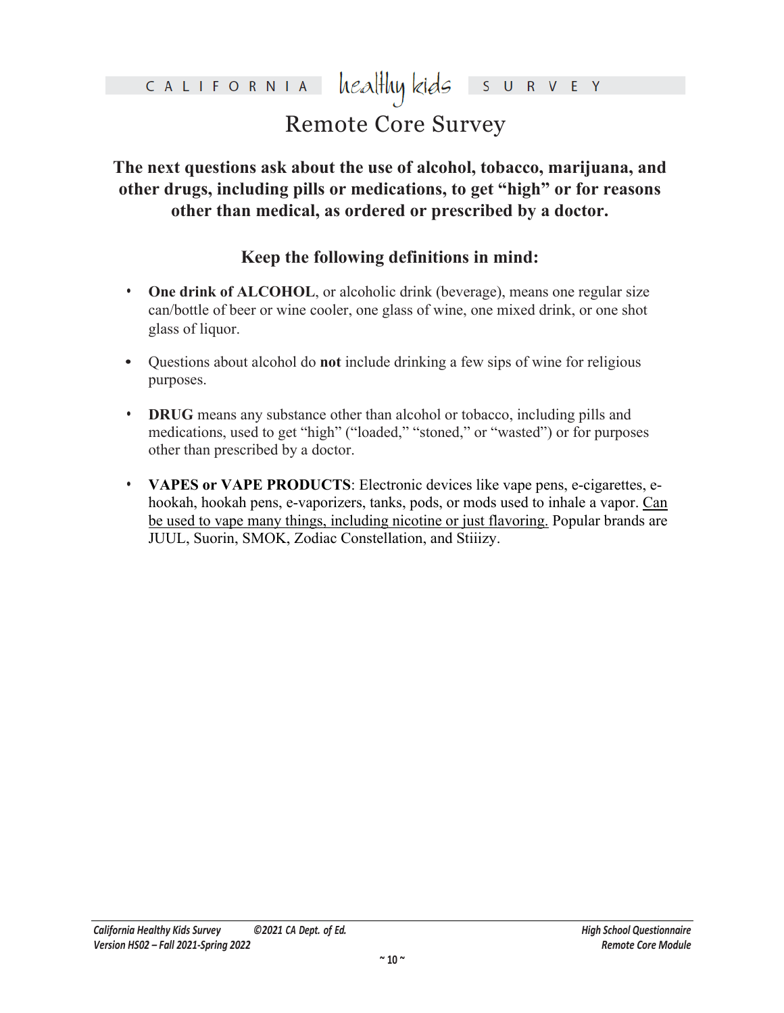### healthy kids CALIFORNIA

## Remote Core Survey

**The next questions ask about the use of alcohol, tobacco, marijuana, and other drugs, including pills or medications, to get "high" or for reasons other than medical, as ordered or prescribed by a doctor.**

## **Keep the following definitions in mind:**

- **• One drink of ALCOHOL**, or alcoholic drink (beverage), means one regular size can/bottle of beer or wine cooler, one glass of wine, one mixed drink, or one shot glass of liquor.
- **•** Questions about alcohol do **not** include drinking a few sips of wine for religious purposes.
- **• DRUG** means any substance other than alcohol or tobacco, including pills and medications, used to get "high" ("loaded," "stoned," or "wasted") or for purposes other than prescribed by a doctor.
- other drugs, including pills or medications, to get "high" or for reasons<br>other than medical, as ordered or prescribed by a doctor.<br>Keep the following definitions in mind:<br>One drink of ALCOHOL<sub>2</sub> or alcoholic drink (bevera Internation of include drinking a few sips of wine for religiour any substance other than alcohol or tobacco, including pills and sead to get "high" ("loaded," "stoned," or "wasted") or for purposeribed by a doctor.<br>APE PR **• VAPES or VAPE PRODUCTS**: Electronic devices like vape pens, e-cigarettes, ehookah, hookah pens, e-vaporizers, tanks, pods, or mods used to inhale a vapor. Can be used to vape many things, including nicotine or just flavoring. Popular brands are JUUL, Suorin, SMOK, Zodiac Constellation, and Stiiizy.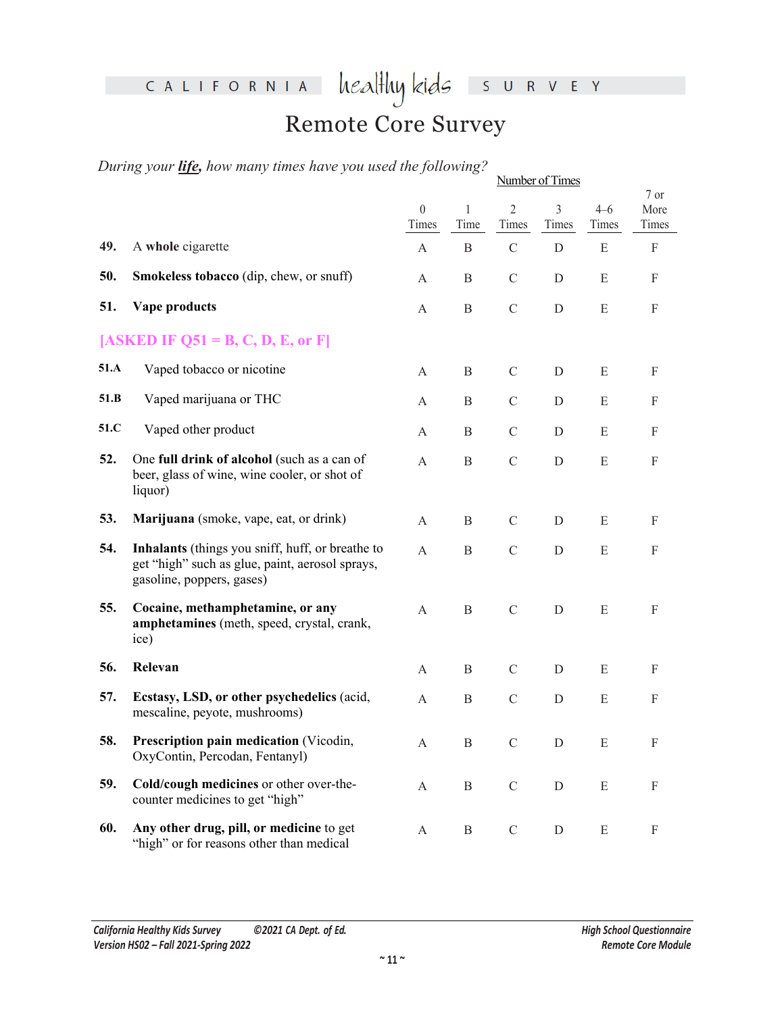## CALIFORNIA

healthykids survey

# Remote Core Survey

*During your life, how many times have you used the following?*

|      |                                                                                                                                  |                   |                  |                         | Number of Times           |                |                           |  |
|------|----------------------------------------------------------------------------------------------------------------------------------|-------------------|------------------|-------------------------|---------------------------|----------------|---------------------------|--|
|      |                                                                                                                                  | $\theta$<br>Times | Time             | $\overline{2}$<br>Times | 3<br>Times                | $4-6$<br>Times | 7 or<br>More<br>Times     |  |
| 49.  | A whole cigarette                                                                                                                | A                 | $\, {\bf B}$     | $\mathcal{C}$           | D                         | Ε              | $\boldsymbol{\mathrm{F}}$ |  |
| 50.  | Smokeless tobacco (dip, chew, or snuff)                                                                                          | A                 | $\mathbf B$      | $\mathsf C$             | $\mathbf{D}_{\mathbf{p}}$ | E              | $\boldsymbol{\mathrm{F}}$ |  |
| 51.  | Vape products                                                                                                                    | A                 | $\, {\bf B}$     |                         | D                         | ${\bf E}$      | $\boldsymbol{\mathrm{F}}$ |  |
|      | $[ASKED IF Q51 = B, C, D, E, or F]$                                                                                              |                   |                  |                         |                           |                |                           |  |
| 51.A | Vaped tobacco or nicotine                                                                                                        | А                 | $\overline{B}$   |                         | D                         | ${\bf E}$      | $\boldsymbol{\mathrm{F}}$ |  |
| 51.B | Vaped marijuana or THC                                                                                                           | $\Delta$          | $\mathbf{B}$     | $\mathcal{C}$           | D                         | E              | ${\bf F}$                 |  |
| 51.C | Vaped other product                                                                                                              | $\mathbf{A}$      | $\, {\bf B}$     | $\mathcal{C}$           | D                         | E              | $\mathbf{F}$              |  |
| 52.  | One full drink of alcohol (such as a can of<br>beer, glass of wine, wine cooler, or shot of<br>liquor)                           | A                 | B                | $\overline{C}$          | $\mathbf D$               | ${\bf E}$      | $\mathbf F$               |  |
| 53.  | Marijuana (smoke, vape, eat, or drink)                                                                                           | $\mathbf{A}$      | $\mathbf B$      | $\mathcal{C}$           | $\mathbf D$               | Ε              | $\mathbf{F}$              |  |
| 54.  | Inhalants (things you sniff, huff, or breathe to<br>get "high" such as glue, paint, aerosol sprays,<br>gasoline, poppers, gases) | $\mathbf{A}$      | $\, {\bf B}$     | $\mathcal{C}$           | D                         | E              | $\mathbf F$               |  |
| 55.  | Cocaine, methamphetamine, or any<br>amphetamines (meth, speed, crystal, crank,<br>ice)                                           | A                 | $\mathbf B$      | $\mathcal{C}$           | $\mathbf D$               | $\mathbf E$    | $\boldsymbol{\mathrm{F}}$ |  |
| 56.  | Relevan                                                                                                                          | A                 | $\mathbf B$      | $\mathcal{C}$           | $\mathbf D$               | E              | F                         |  |
| 57.  | Ecstasy, LSD, or other psychedelics (acid,<br>mescaline, peyote, mushrooms)                                                      | A                 | B                | $\mathcal{C}$           | $\mathbf D$               | E              | F                         |  |
| 58.  | <b>Prescription pain medication (Vicodin,</b><br>OxyContin, Percodan, Fentanyl)                                                  | A                 | B                | $\mathcal{C}$           | D                         | E              | F                         |  |
| 59.  | Cold/cough medicines or other over-the-<br>counter medicines to get "high"                                                       | A                 | $\, {\bf B}$     | ${\bf C}$               | $\mathbf D$               | $\mathbf E$    | $\mathbf F$               |  |
| 60.  | Any other drug, pill, or medicine to get<br>"high" or for reasons other than medical                                             | A                 | $\boldsymbol{B}$ | $\mathbf C$             | $\mathbf D$               | E              | $\boldsymbol{F}$          |  |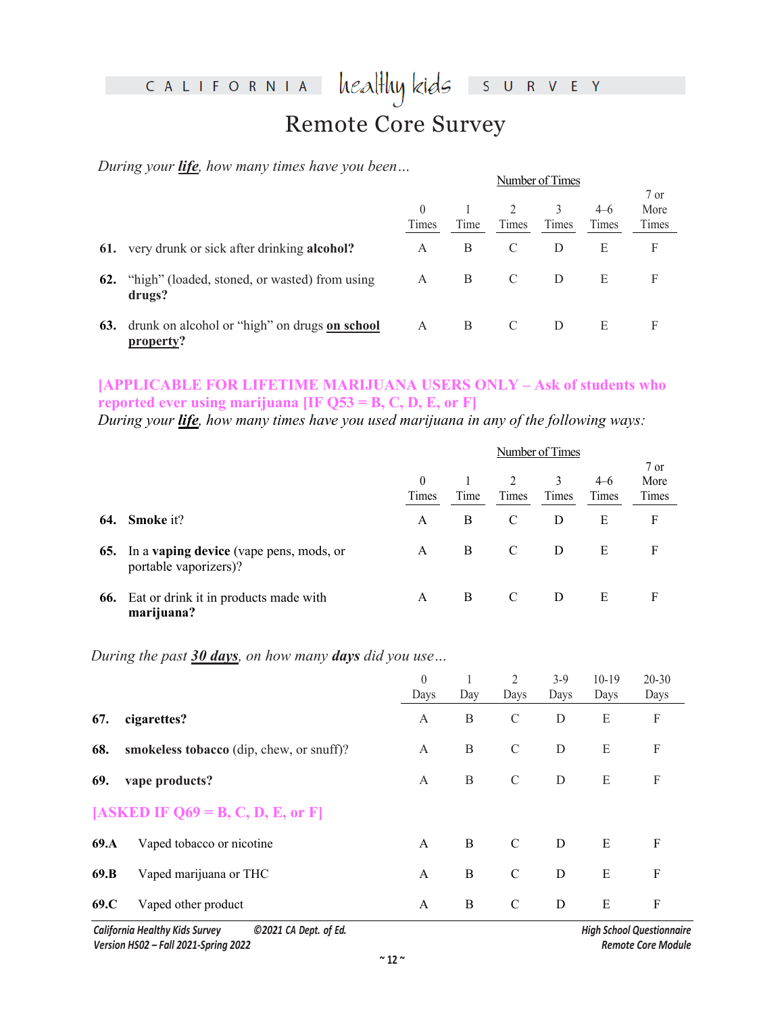### healthy kids CALIFORNIA

## Remote Core Survey

 $\mathsf{S}$ 

U

R V E Y

*During your life, how many times have you been…* 

|     |                                                            |          |      |       | Number of Times |         |       |
|-----|------------------------------------------------------------|----------|------|-------|-----------------|---------|-------|
|     |                                                            |          |      |       |                 |         | 7 or  |
|     |                                                            | $\theta$ |      |       |                 | $4 - 6$ | More  |
|     |                                                            | Times    | Time | Times | Times           | Times   | Times |
| 61. | very drunk or sick after drinking alcohol?                 | A        | B    |       |                 | E       |       |
| 62. | "high" (loaded, stoned, or wasted) from using<br>drugs?    | A        | B    |       |                 | E       | F     |
| 63. | drunk on alcohol or "high" on drugs on school<br>property? | А        | В    |       |                 | E       | F     |

### **[APPLICABLE FOR LIFETIME MARIJUANA USERS ONLY – Ask of students who reported ever using marijuana [IF Q53 = B, C, D, E, or**

|            |                                                                                                                                                                                                                                           |                          |                      |                         | Number of Times       |                  |                           |
|------------|-------------------------------------------------------------------------------------------------------------------------------------------------------------------------------------------------------------------------------------------|--------------------------|----------------------|-------------------------|-----------------------|------------------|---------------------------|
|            |                                                                                                                                                                                                                                           | $\overline{0}$           | 1                    | 2                       | 3                     | $4-6$            | 7 or<br>More              |
|            |                                                                                                                                                                                                                                           | Times                    | Time                 | Times                   | Times                 | Times            | Times                     |
| 61.        | very drunk or sick after drinking alcohol?                                                                                                                                                                                                | A                        | $\, {\bf B}$         | $\mathcal{C}$           | D                     | E                | $\mathbf F$               |
| 62.        | "high" (loaded, stoned, or wasted) from using<br>drugs?                                                                                                                                                                                   | A                        | $\mathbf B$          | $\mathcal{C}$           | $\mathbf{D}_\text{c}$ | È                | $\mathbf F$               |
| 63.        | drunk on alcohol or "high" on drugs on school<br>property?                                                                                                                                                                                | A                        | $\, {\bf B}$         |                         | D                     | ${\bf E}$        | $\mathbf F$               |
|            | <b>[APPLICABLE FOR LIFETIME MARIJUANA USERS ONLY - Ask of students who</b><br>reported ever using marijuana [IF $Q53 = B, C, D, E$ , or<br>During your <i>life</i> , how many times have you used marijuana in any of the following ways: |                          |                      |                         |                       |                  |                           |
|            |                                                                                                                                                                                                                                           |                          |                      |                         | Number of Times       |                  |                           |
|            |                                                                                                                                                                                                                                           | 0<br>Times               | $\mathbf{1}$<br>Time | $\overline{2}$<br>Times | 3<br>Times            | $4 - 6$<br>Times | 7 or<br>More<br>Times     |
| 64.        | Smoke it?                                                                                                                                                                                                                                 | $\mathbf{A}$             | $\, {\bf B}$         | $\mathcal{C}$           | $\mathbf D$           | ${\bf E}$        | $\mathbf F$               |
| 65.        | In a vaping device (vape pens, mods, or<br>portable vaporizers)?                                                                                                                                                                          | $\mathbf{A}$             | $\overline{B}$       | $\mathcal{C}$           | $\mathbf D$           | E                | $\rm F$                   |
| 66.        | Eat or drink it in products made with<br>marijuana?                                                                                                                                                                                       | $\mathbf{A}$             | $\bf{B}$             | $\mathbf C$             | $\mathbf D$           | E                | $\mathbf{F}$              |
|            | During the past 30 days, on how many days did you use                                                                                                                                                                                     |                          |                      |                         |                       |                  |                           |
|            |                                                                                                                                                                                                                                           | $\boldsymbol{0}$<br>Days | $\mathbf{1}$<br>Day  | $\overline{2}$<br>Days  | $3-9$<br>Days         | $10-19$<br>Days  | $20 - 30$<br>Days         |
| 67.        | cigarettes?                                                                                                                                                                                                                               | A                        | B                    | $\mathcal{C}$           | D                     | E                | $\boldsymbol{\mathrm{F}}$ |
| 68.        | smokeless tobacco (dip, chew, or snuff)?                                                                                                                                                                                                  | А                        | $\mathbf B$          | $\mathcal{C}$           | D                     | E                | F                         |
| $\epsilon$ |                                                                                                                                                                                                                                           | $\lambda$                | <sub>D</sub>         | $\curvearrowright$      | $\mathbf{D}$          | г.               | $\Gamma$                  |

|      |                                          | $\theta$<br>Days | Day | $\mathfrak{D}$<br>Days | $3-9$<br>Days | 10-19<br>Days | $20 - 30$<br>Days         |
|------|------------------------------------------|------------------|-----|------------------------|---------------|---------------|---------------------------|
| 67.  | cigarettes?                              | A                | B   | $\mathcal{C}$          | D             | E             | $\boldsymbol{\mathrm{F}}$ |
| 68.  | smokeless tobacco (dip, chew, or snuff)? | A                | B   | $\mathcal{C}$          | D             | E             | F                         |
| 69.  | vape products?                           | A                | B   | $\mathcal{C}$          | D             | E             | $\boldsymbol{\mathrm{F}}$ |
|      | [ASKED IF $Q69 = B, C, D, E,$ or F]      |                  |     |                        |               |               |                           |
| 69.A | Vaped tobacco or nicotine                | A                | B   | C                      | D             | Ε             | F                         |
| 69.B | Vaped marijuana or THC                   | A                | B   | $\mathcal{C}$          | D             | E             | F                         |
| 69.C | Vaped other product                      | A                | B   | $\mathcal{C}$          | D             | E             | F                         |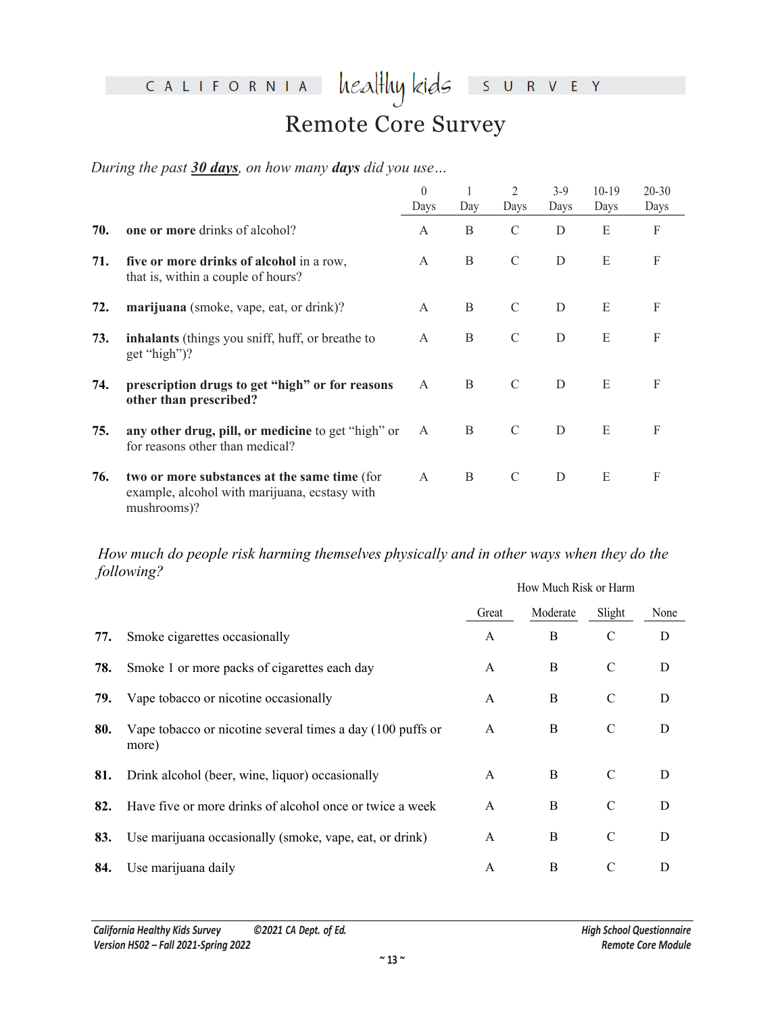CALIFORNIA

healthy kids  $\mathsf{S}$  $\cup$ 

R V E Y

## Remote Core Survey

*During the past 30 days, on how many days did you use…*

|     |                                                                                                              | $\theta$<br>Days | 1<br>Day       | $\overline{2}$<br>Days | $3-9$<br>Days  | $10-19$<br>Days       | $20 - 30$<br>Days |
|-----|--------------------------------------------------------------------------------------------------------------|------------------|----------------|------------------------|----------------|-----------------------|-------------------|
| 70. | one or more drinks of alcohol?                                                                               | $\mathbf{A}$     | B              | $\mathcal{C}$          | D              | ${\bf E}$             | F                 |
| 71. | five or more drinks of alcohol in a row,<br>that is, within a couple of hours?                               | $\mathbf{A}$     | $\mathbf B$    | $\mathcal{C}$          | $\mathbf D$    | E.                    | $\rm F$           |
| 72. | marijuana (smoke, vape, eat, or drink)?                                                                      | A                | $\, {\bf B}$   |                        | D              | ${\bf E}$             | $\mathbf F$       |
| 73. | inhalants (things you sniff, huff, or breathe to<br>get "high")?                                             | A                | B              | $\mathcal{C}$          | $\mathbf D$    | ${\bf E}$             | $\mathbf F$       |
| 74. | prescription drugs to get "high" or for reasons<br>other than prescribed?                                    | A                | $\mathbf{B}$   | $\overline{C}$         | $\overline{D}$ | ${\bf E}$             | ${\bf F}$         |
| 75. | any other drug, pill, or medicine to get "high" or<br>for reasons other than medical?                        | A                | $\, {\bf B}$   | C                      | $\mathbf D$    | E                     | $\mathbf F$       |
| 76. | two or more substances at the same time (for<br>example, alcohol with marijuana, ecstasy with<br>mushrooms)? | А                | $\overline{B}$ | $\subset$              | $\mathbf D$    | ${\bf E}$             | $\mathbf{F}$      |
|     | How much do people risk harming themselves physically and in other ways when they do the<br>following?       |                  |                |                        |                |                       |                   |
|     |                                                                                                              |                  |                |                        |                | How Much Risk or Harm |                   |
|     |                                                                                                              |                  |                | Great                  | Moderate       | Slight                | None              |
| 77. | Smoke cigarettes occasionally                                                                                |                  | $\mathbf{A}$   |                        | B              | $\mathcal{C}$         | D                 |
| 78. | Smoke 1 or more packs of cigarettes each day                                                                 |                  | $\mathsf{A}$   |                        | $\bf{B}$       | $\mathbf C$           | D                 |
| 79. | Vape tobacco or nicotine occasionally                                                                        |                  | A              |                        | B              | $\mathbf C$           | $\mathbf D$       |
| 80. | Vape tobacco or nicotine several times a day (100 puffs or<br>more)                                          |                  | A              |                        | $\bf{B}$       | $\mathcal{C}$         | ${\bf D}$         |
| 81. | Drink alcohol (beer, wine, liquor) occasionally                                                              |                  | A              |                        | B              | C                     | D                 |

|     |                                                                     |              | How Much Risk or Harm |               |      |
|-----|---------------------------------------------------------------------|--------------|-----------------------|---------------|------|
|     |                                                                     | Great        | Moderate              | Slight        | None |
| 77. | Smoke cigarettes occasionally                                       | $\mathsf{A}$ | B                     | $\mathcal{C}$ | D    |
| 78. | Smoke 1 or more packs of cigarettes each day                        | A            | B                     | $\mathcal{C}$ | D    |
| 79. | Vape tobacco or nicotine occasionally                               | A            | B                     | $\mathcal{C}$ | D    |
| 80. | Vape tobacco or nicotine several times a day (100 puffs or<br>more) | A            | B                     | C             | D    |
| 81. | Drink alcohol (beer, wine, liquor) occasionally                     | A            | B                     | $\mathcal{C}$ | D    |
| 82. | Have five or more drinks of alcohol once or twice a week            | A            | B                     | $\mathcal{C}$ | D    |
| 83. | Use marijuana occasionally (smoke, vape, eat, or drink)             | A            | B                     | $\mathcal{C}$ | D    |
| 84. | Use marijuana daily                                                 | A            | B                     | $\mathcal{C}$ | D    |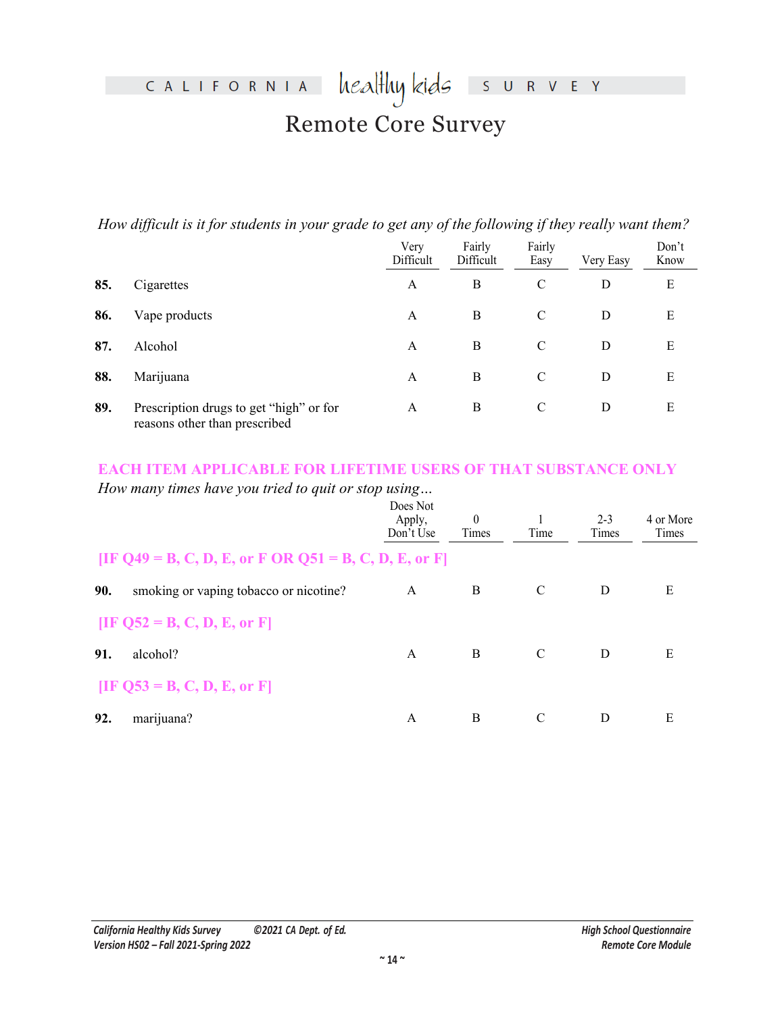heal<del>l</del>luy kids CALIFORNIA  $S$  U R V E Y

# Remote Core Survey

|     |                                                                          | Very<br>Difficult | Fairly<br>Difficult | Fairly<br>Easy | <b>Very Easy</b> | Don't<br>Know |
|-----|--------------------------------------------------------------------------|-------------------|---------------------|----------------|------------------|---------------|
| 85. | Cigarettes                                                               | A                 | B                   |                | D                | E             |
| 86. | Vape products                                                            | A                 | B                   | C              | D                | E             |
| 87. | Alcohol                                                                  | A                 | B                   | C              | D                | E             |
| 88. | Marijuana                                                                | A                 | B                   |                | D                | E             |
| 89. | Prescription drugs to get "high" or for<br>reasons other than prescribed | A                 | B                   | $\mathcal{C}$  | D                | E             |

## **EACH ITEM APPLICABLE FOR LIFETIME USERS OF THAT SUBSTANCE ONLY**

|                   |                                                                                                     | Very<br>Difficult         | Fairly<br>Difficult | Fairly<br>Easy | <b>Very Easy</b> | Don't<br>Know      |
|-------------------|-----------------------------------------------------------------------------------------------------|---------------------------|---------------------|----------------|------------------|--------------------|
| 85.               | Cigarettes                                                                                          | $\mathbf{A}$              | $\, {\bf B}$        | C              | D                | ${\bf E}$          |
| 86.               | Vape products                                                                                       | A                         | $\boldsymbol{B}$    | $\overline{C}$ | D                | ${\bf E}$          |
| 87.               | Alcohol                                                                                             | $\boldsymbol{\mathsf{A}}$ | $\, {\bf B}$        | $\mathbf C$    | D                | ${\bf E}$          |
| 88.               | Marijuana                                                                                           | $\mathbf A$               | B                   | $\mathbf{C}$   | ${\bf D}$        | $\mathbf E$        |
| 89.               | Prescription drugs to get "high" or for                                                             | $\overline{A}$            | B                   | $\overline{C}$ | D                | E                  |
| EA(               | reasons other than prescribed<br>TEM APPLICA<br>How many times have you tried to quit or stop using | Does Not                  |                     |                |                  | <b>ONLY</b>        |
|                   |                                                                                                     |                           |                     |                |                  |                    |
|                   |                                                                                                     | Apply,                    | $\theta$            | 1              | $2 - 3$          |                    |
|                   |                                                                                                     | Don't Use                 | Times               | Time           | Times            | 4 or More<br>Times |
|                   | <b>IIF O49 = B, C, D, E, or</b><br>smoking or vaping tobacco or nicotine?                           | D, E, or F<br>Ā           | $\, {\bf B}$        | $\mathbf C$    | $\mathbf D$      | $\mathbf E$        |
|                   | <b>IIF O52 = B</b> ,                                                                                |                           |                     |                |                  |                    |
|                   | alcohol?                                                                                            | $\mathbf{A}$              | $\, {\bf B}$        | $\mathbf C$    | $\mathbf D$      | $\mathbf E$        |
| 90.<br>91.<br>IIE |                                                                                                     |                           |                     |                |                  |                    |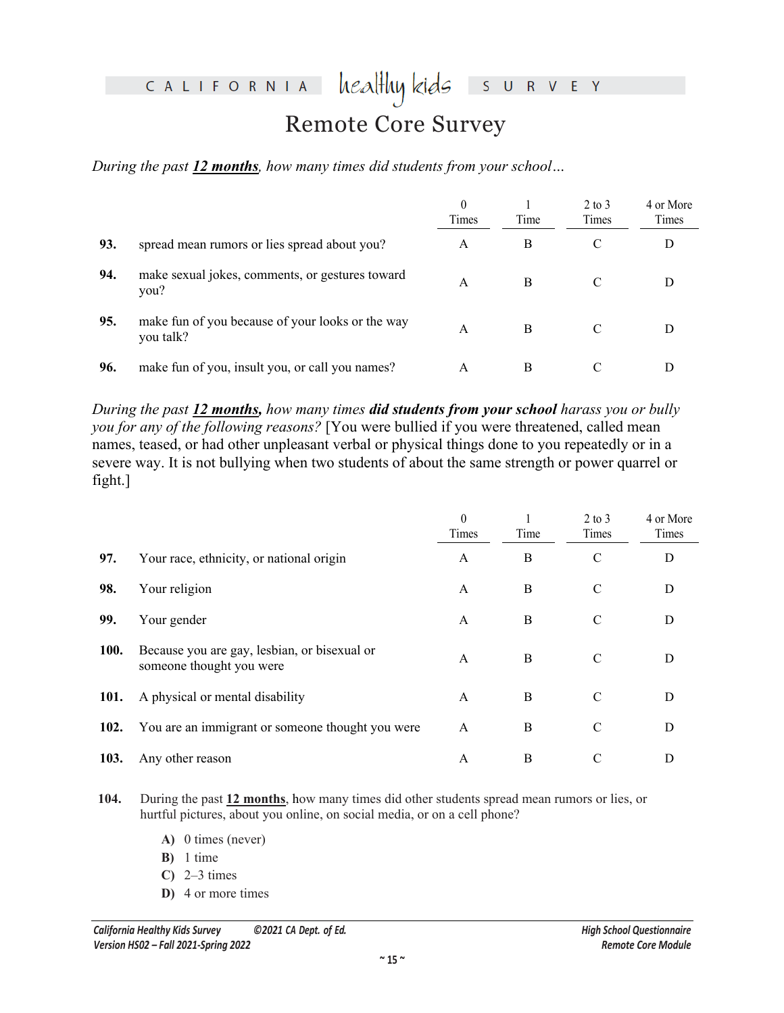## CALIFORNIA

#### healthy kids R V E Y S

## Remote Core Survey

*During the past 12 months, how many times did students from your school…* 

|     |                                                               | 0<br>Times | Time | $2 \text{ to } 3$<br>Times | 4 or More<br>Times |
|-----|---------------------------------------------------------------|------------|------|----------------------------|--------------------|
| 93. | spread mean rumors or lies spread about you?                  | А          | B    |                            | D                  |
| 94. | make sexual jokes, comments, or gestures toward<br>you?       | A          |      |                            |                    |
| 95. | make fun of you because of your looks or the way<br>you talk? | А          |      | $\mathcal{C}$              |                    |
| 96. | make fun of you, insult you, or call you names?               | A          | B    | $\mathcal{C}$              |                    |

|         |                                                                                                                                                                                                                                                                                                   | $\theta$     |             | $2$ to $3$     | 4 or More   |
|---------|---------------------------------------------------------------------------------------------------------------------------------------------------------------------------------------------------------------------------------------------------------------------------------------------------|--------------|-------------|----------------|-------------|
|         |                                                                                                                                                                                                                                                                                                   | Times        | Time        | Times          | Times       |
| 93.     | spread mean rumors or lies spread about you?                                                                                                                                                                                                                                                      | $\mathbf{A}$ | B           |                | $\mathbf D$ |
| 94.     | make sexual jokes, comments, or gestures toward<br>you?                                                                                                                                                                                                                                           | $\mathbf{A}$ | B           |                | $\mathbf D$ |
| 95.     | make fun of you because of your looks or the way<br>you talk?                                                                                                                                                                                                                                     | Α            |             | $\overline{C}$ | D           |
| 96.     | make fun of you, insult you, or call you names?                                                                                                                                                                                                                                                   |              | $\mathbf B$ | $\mathcal{C}$  | D           |
| fight.] | you for any of the following reasons? [You were bullied if you were threatened, called mean<br>names, teased, or had other unpleasant verbal or physical things done to you repeatedly or in a<br>severe way. It is not bullying when two students of about the same strength or power quarrel or |              |             |                |             |
|         |                                                                                                                                                                                                                                                                                                   | $\theta$     | 1           | $2$ to $3$     | 4 or More   |
|         |                                                                                                                                                                                                                                                                                                   | Times        | Time        | Times          | Times       |
| 97.     | Your race, ethnicity, or national origin                                                                                                                                                                                                                                                          | A            | B           | $\mathbf C$    | $\mathbf D$ |
| 98.     | Your religion                                                                                                                                                                                                                                                                                     | A            | B           | C              |             |
| 99.     |                                                                                                                                                                                                                                                                                                   |              |             |                | D           |
|         | Your gender                                                                                                                                                                                                                                                                                       | $\mathsf{A}$ | B           | $\mathcal{C}$  | D           |
| 100.    | Because you are gay, lesbian, or bisexual or<br>someone thought you were                                                                                                                                                                                                                          | $\mathbf{A}$ | B           | $\mathcal{C}$  | D           |
| 101.    | A physical or mental disability                                                                                                                                                                                                                                                                   | A            | B           | $\mathcal{C}$  | D           |
| 102.    | You are an immigrant or someone thought you were                                                                                                                                                                                                                                                  | A            | B           | C              | $\mathbf D$ |

- **104.** During the past **12 months**, how many times did other students spread mean rumors or lies, or hurtful pictures, about you online, on social media, or on a cell phone?
	- **A)** 0 times (never)
	- **B)** 1 time
	- **C)** 2–3 times
	- **D)** 4 or more times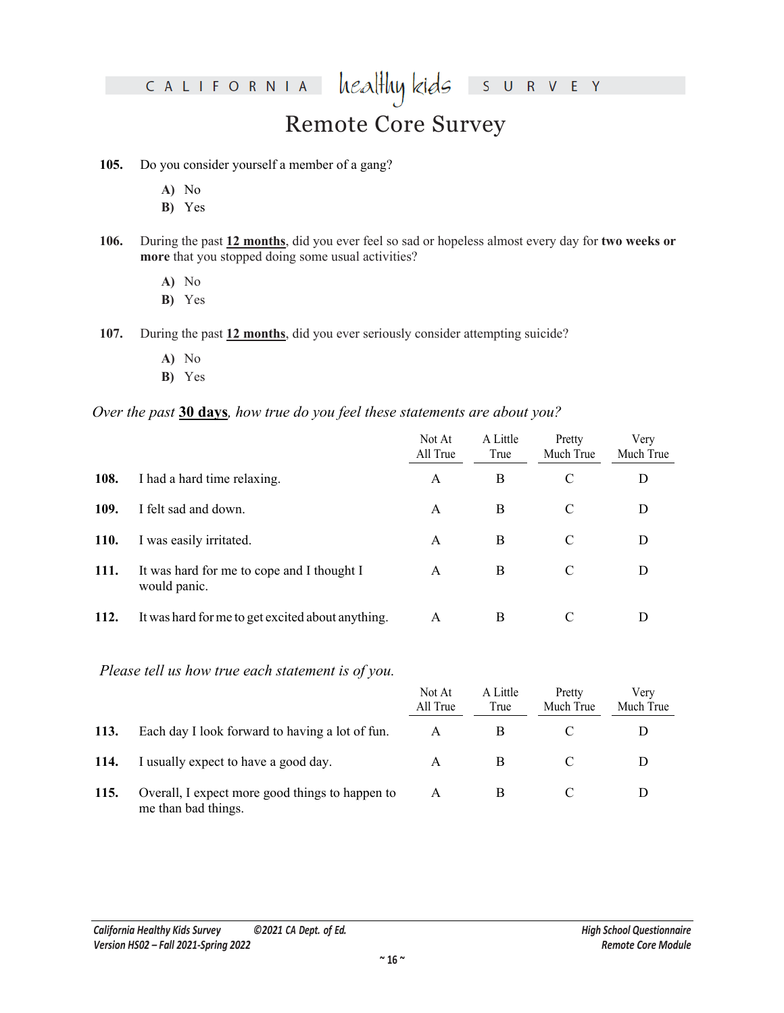### healthy kids CALIFORNIA

## Remote Core Survey

 $\mathsf E$  $\mathsf{Y}$ 

 $R$  V

S U

#### **105.** Do you consider yourself a member of a gang?

- **A)** No
- **B)** Yes
- **106.** During the past **12 months**, did you ever feel so sad or hopeless almost every day for **two weeks or more** that you stopped doing some usual activities?
	- **A)** No
	- **B)** Yes
- **107.** During the past **12 months**, did you ever seriously consider attempting suicide?
	- **A)** No
	- **B)** Yes

#### *Over the past* **30 days***, how true do you feel these statements are about you?*

|                                                                             | A) No<br>B) Yes                                                                                                                                         |                    |                  |                     |                   |  |  |
|-----------------------------------------------------------------------------|---------------------------------------------------------------------------------------------------------------------------------------------------------|--------------------|------------------|---------------------|-------------------|--|--|
| 106.                                                                        | During the past 12 months, did you ever feel so sad or hopeless almost every day for two weeks or<br>more that you stopped doing some usual activities? |                    |                  |                     |                   |  |  |
|                                                                             | A) No<br>B) Yes                                                                                                                                         |                    |                  |                     |                   |  |  |
| 107.                                                                        | During the past 12 months, did you ever seriously consider attempting suicide?                                                                          |                    |                  |                     |                   |  |  |
|                                                                             | A) No<br>B) Yes                                                                                                                                         |                    |                  |                     |                   |  |  |
| Over the past 30 days, how true do you feel these statements are about you? |                                                                                                                                                         |                    |                  |                     |                   |  |  |
|                                                                             |                                                                                                                                                         | Not At<br>All True | A Little<br>True | Pretty<br>Much True | Very<br>Much True |  |  |
| 108.                                                                        | I had a hard time relaxing.                                                                                                                             | A                  | $\bf{B}$         | $\mathcal{C}$       | $\mathbf D$       |  |  |
| 109.                                                                        | I felt sad and down.                                                                                                                                    | A                  | B                | $\mathcal{C}$       | D                 |  |  |
| 110.                                                                        | I was easily irritated.                                                                                                                                 | Α                  | $\bf{B}$         | $\mathbf C$         | D                 |  |  |
| 111.                                                                        | It was hard for me to cope and I thought I<br>would panic.                                                                                              | $\mathbf{A}$       | $\mathbf B$      | $\mathbf C$         | D                 |  |  |
| 112.                                                                        | It was hard for me to get excited about anything.                                                                                                       | $\mathbf{A}$       | $\bf{B}$         | $\mathcal{C}$       | D                 |  |  |
|                                                                             | Please tell us how true each statement is of you.                                                                                                       |                    |                  |                     |                   |  |  |
|                                                                             |                                                                                                                                                         | Not At<br>All True | A Little<br>True | Pretty<br>Much True | Very<br>Much True |  |  |
| 113.                                                                        | Each day I look forward to having a lot of fun.                                                                                                         | $\mathbf{A}$       | $\bf{B}$         | $\mathcal{C}$       | D                 |  |  |
| 114.                                                                        | I usually expect to have a good day.                                                                                                                    | A                  | $\bf{B}$         | $\mathcal{C}$       | D                 |  |  |

### *Please tell us how true each statement is of you.*

|      |                                                                        | Not At<br>All True | A Little<br>True | Pretty<br>Much True | Verv<br>Much True |
|------|------------------------------------------------------------------------|--------------------|------------------|---------------------|-------------------|
| 113. | Each day I look forward to having a lot of fun.                        |                    |                  |                     |                   |
| 114. | I usually expect to have a good day.                                   | А                  |                  |                     |                   |
| 115. | Overall, I expect more good things to happen to<br>me than bad things. | А                  |                  |                     |                   |